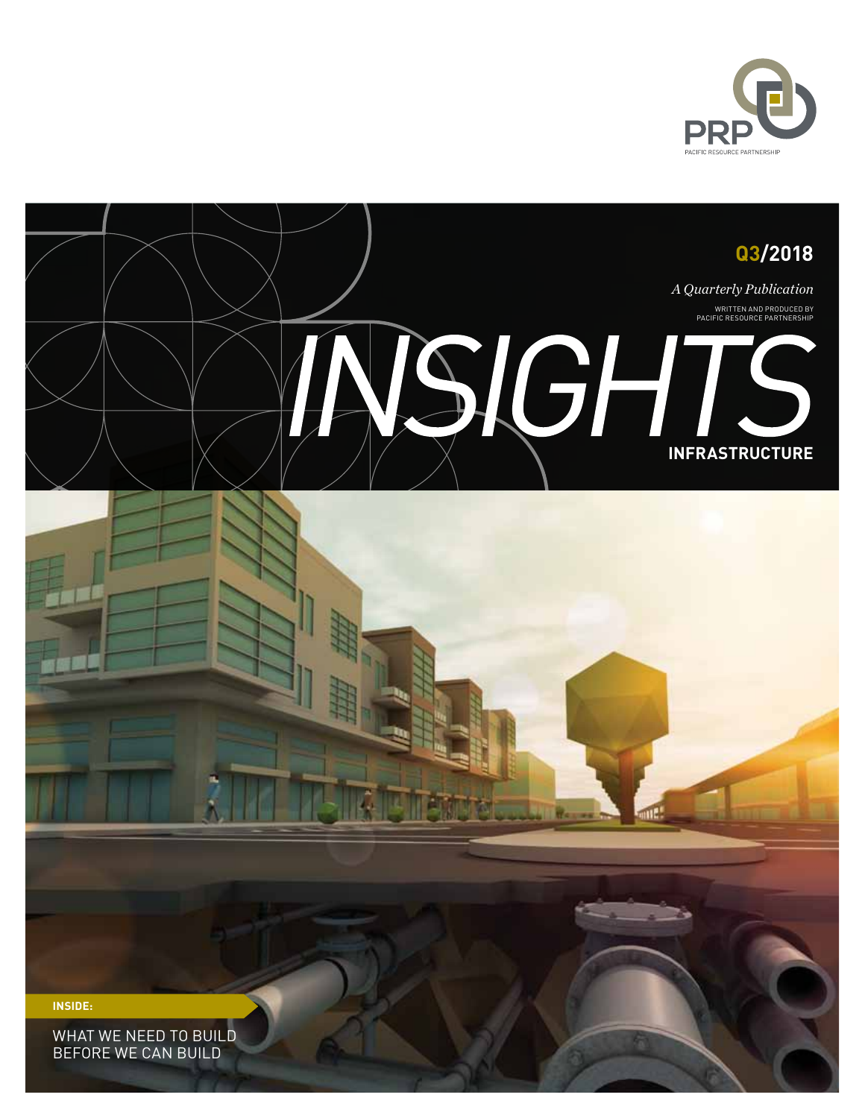

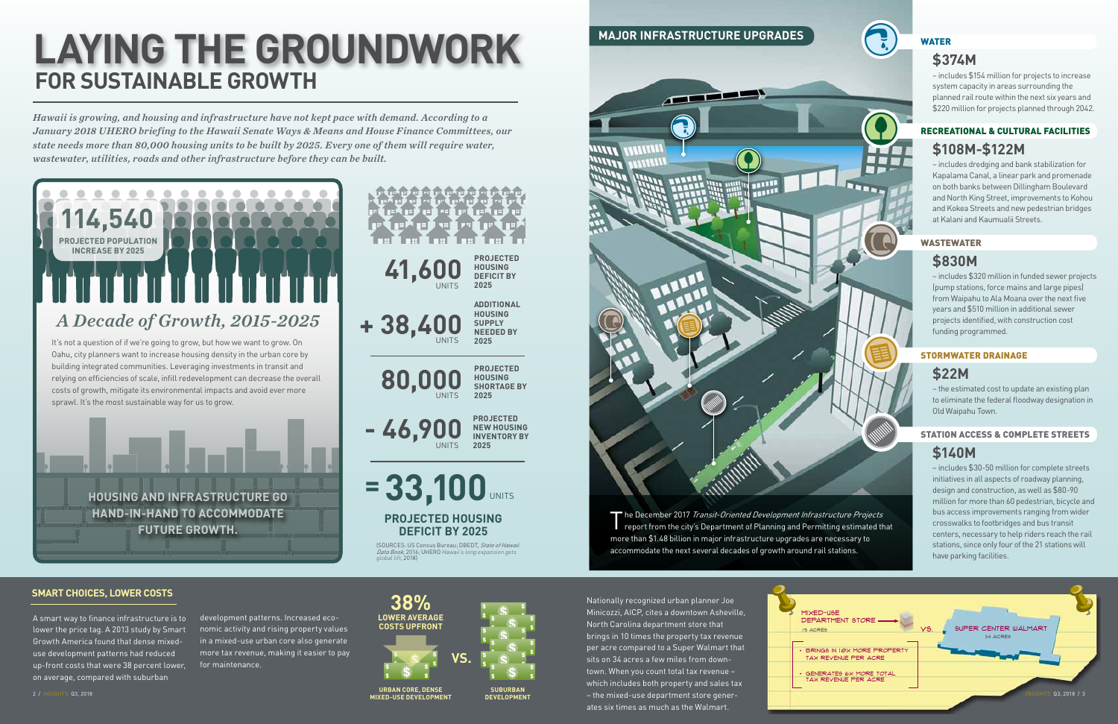*Hawaii is growing, and housing and infrastructure have not kept pace with demand. According to a January 2018 UHERO briefing to the Hawaii Senate Ways & Means and House Finance Committees, our state needs more than 80,000 housing units to be built by 2025. Every one of them will require water, wastewater, utilities, roads and other infrastructure before they can be built.*

> The December 2017 Transit-Oriented Development Infrastructure Projects report from the city's Department of Planning and Permitting estimated that more than \$1.48 billion in major infrastructure upgrades are necessary to accommodate the next several decades of growth around rail stations.

# **FOR SUSTAINABLE GROWTH LAYING THE GROUNDWORK**



# $\overline{a}$ **MITT** דוור

– includes \$154 million for projects to increase system capacity in areas surrounding the planned rail route within the next six years and \$220 million for projects planned through 2042.

**PROJECTED HOUSING SHORTAGE BY** 

**2025**

**PROJECTED HOUSING DEFICIT BY 2025**

**ADDITIONAL HOUSING SUPPLY NEEDED BY 2025**

**PROJECTED NEW HOUSING INVENTORY BY** 

**2025**

# **MAJOR INFRASTRUCTURE UPGRADES**



– includes dredging and bank stabilization for Kapalama Canal, a linear park and promenade on both banks between Dillingham Boulevard and North King Street, improvements to Kohou and Kokea Streets and new pedestrian bridges at Kalani and Kaumualii Streets.

# RECREATIONAL & CULTURAL FACILITIES **\$108M-\$122M**

### **SMART CHOICES, LOWER COSTS**



A smart way to finance infrastructure is to lower the price tag. A 2013 study by Smart Growth America found that dense mixeduse development patterns had reduced up-front costs that were 38 percent lower, on average, compared with suburban

Nationally recognized urban planner Joe Minicozzi, AICP, cites a downtown Asheville, North Carolina department store that brings in 10 times the property tax revenue per acre compared to a Super Walmart that sits on 34 acres a few miles from downtown. When you count total tax revenue – which includes both property and sales tax ates six times as much as the Walmart.

development patterns. Increased economic activity and rising property values in a mixed-use urban core also generate more tax revenue, making it easier to pay for maintenance.

# WATER

# **\$374M**

– includes \$320 million in funded sewer projects (pump stations, force mains and large pipes) from Waipahu to Ala Moana over the next five years and \$510 million in additional sewer projects identified, with construction cost funding programmed.

### WASTEWATER

# **\$830M**

– the estimated cost to update an existing plan to eliminate the federal floodway designation in Old Waipahu Town.

# STORMWATER DRAINAGE

# **\$22M**

– includes \$30-50 million for complete streets initiatives in all aspects of roadway planning, design and construction, as well as \$80-90 million for more than 60 pedestrian, bicycle and bus access improvements ranging from wider crosswalks to footbridges and bus transit centers, necessary to help riders reach the rail stations, since only four of the 21 stations will have parking facilities.

## STATION ACCESS & COMPLETE STREETS

# **\$140M**



**URBAN CORE, DENSE MIXED-USE DEVELOPMENT**

**SUBURBAN DEVELOPMENT**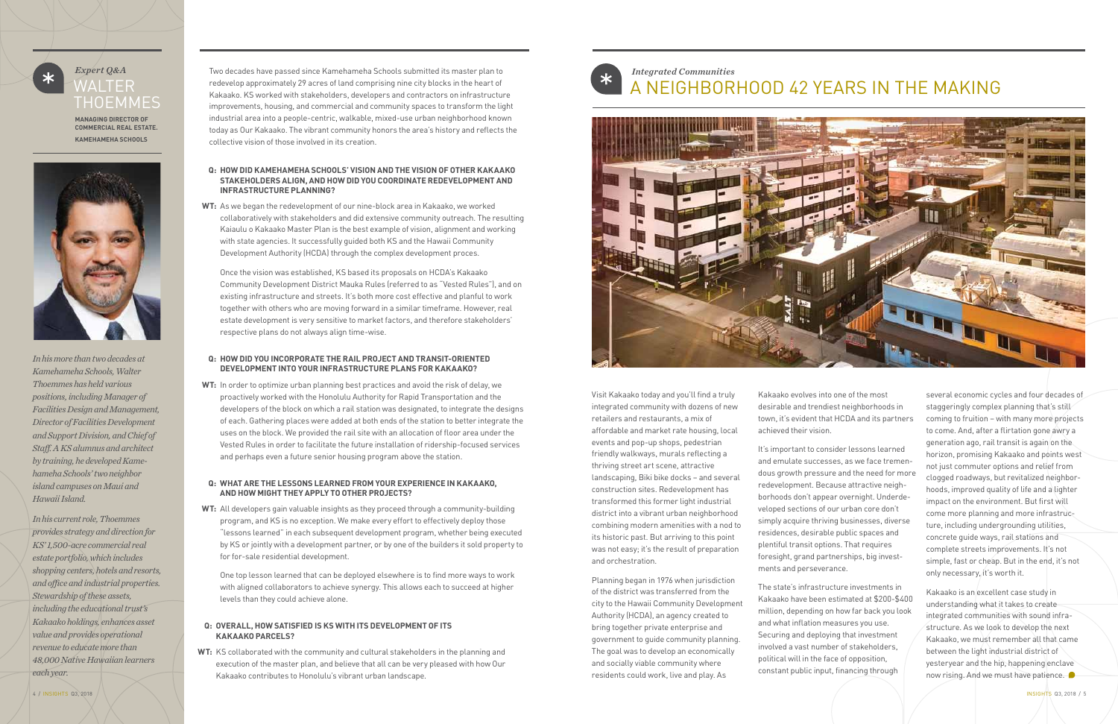# *Expert Q&A* WALTER **THOEMMES**

**Managing Director of Commercial Real Estate. Kamehameha Schools**



**WT:** As we began the redevelopment of our nine-block area in Kakaako, we worked collaboratively with stakeholders and did extensive community outreach. The resulting Kaiaulu o Kakaako Master Plan is the best example of vision, alignment and working with state agencies. It successfully guided both KS and the Hawaii Community Development Authority (HCDA) through the complex development proces.

 Once the vision was established, KS based its proposals on HCDA's Kakaako Community Development District Mauka Rules (referred to as "Vested Rules"), and on existing infrastructure and streets. It's both more cost effective and planful to work together with others who are moving forward in a similar timeframe. However, real estate development is very sensitive to market factors, and therefore stakeholders' respective plans do not always align time-wise.

### **Q: How did Kamehameha Schools' vision and the vision of other Kakaako stakeholders align, and how did you coordinate redevelopment and infrastructure planning?**

**WT:** In order to optimize urban planning best practices and avoid the risk of delay, we proactively worked with the Honolulu Authority for Rapid Transportation and the developers of the block on which a rail station was designated, to integrate the designs of each. Gathering places were added at both ends of the station to better integrate the uses on the block. We provided the rail site with an allocation of floor area under the Vested Rules in order to facilitate the future installation of ridership-focused services and perhaps even a future senior housing program above the station.

### **Q: How did you incorporate the rail project and transit-oriented development into your infrastructure plans for Kakaako?**

**WT:** All developers gain valuable insights as they proceed through a community-building program, and KS is no exception. We make every effort to effectively deploy those "lessons learned" in each subsequent development program, whether being executed by KS or jointly with a development partner, or by one of the builders it sold property to for for-sale residential development.

 One top lesson learned that can be deployed elsewhere is to find more ways to work with aligned collaborators to achieve synergy. This allows each to succeed at higher levels than they could achieve alone.

### **Q: What are the lessons learned from your experience in Kakaako, and how might they apply to other projects?**

**WT:** KS collaborated with the community and cultural stakeholders in the planning and execution of the master plan, and believe that all can be very pleased with how Our Kakaako contributes to Honolulu's vibrant urban landscape.

### **Q: Overall, how satisfied is KS with its development of its Kakaako parcels?**

Visit Kakaako today and you'll find a truly integrated community with dozens of new retailers and restaurants, a mix of affordable and market rate housing, local events and pop-up shops, pedestrian friendly walkways, murals reflecting a thriving street art scene, attractive landscaping, Biki bike docks – and several construction sites. Redevelopment has transformed this former light industrial district into a vibrant urban neighborhood combining modern amenities with a nod to its historic past. But arriving to this point was not easy; it's the result of preparation and orchestration.

Planning began in 1976 when jurisdiction of the district was transferred from the city to the Hawaii Community Development Authority (HCDA), an agency created to bring together private enterprise and government to guide community planning. The goal was to develop an economically and socially viable community where residents could work, live and play. As

Kakaako evolves into one of the most desirable and trendiest neighborhoods in town, it's evident that HCDA and its partners achieved their vision.

It's important to consider lessons learned and emulate successes, as we face tremendous growth pressure and the need for more redevelopment. Because attractive neighborhoods don't appear overnight. Underdeveloped sections of our urban core don't simply acquire thriving businesses, diverse residences, desirable public spaces and plentiful transit options. That requires foresight, grand partnerships, big investments and perseverance.

The state's infrastructure investments in Kakaako have been estimated at \$200-\$400 million, depending on how far back you look and what inflation measures you use. Securing and deploying that investment involved a vast number of stakeholders, political will in the face of opposition, constant public input, financing through

*In his more than two decades at Kamehameha Schools, Walter Thoemmes has held various positions, including Manager of Facilities Design and Management, Director of Facilities Development and Support Division, and Chief of Staff. A KS alumnus and architect by training, he developed Kamehameha Schools' two neighbor island campuses on Maui and Hawaii Island.* 

*In his current role, Thoemmes provides strategy and direction for KS' 1,500-acre commercial real estate portfolio, which includes shopping centers, hotels and resorts, and office and industrial properties. Stewardship of these assets, including the educational trust's Kakaako holdings, enhances asset value and provides operational revenue to educate more than 48,000 Native Hawaiian learners each year.*

*Integrated Communities* A NEIGHBORHOOD 42 YEARS IN THE MAKING



several economic cycles and four decades of staggeringly complex planning that's still coming to fruition – with many more projects to come. And, after a flirtation gone awry a generation ago, rail transit is again on the horizon, promising Kakaako and points west not just commuter options and relief from clogged roadways, but revitalized neighborhoods, improved quality of life and a lighter impact on the environment. But first will come more planning and more infrastructure, including undergrounding utilities, concrete guide ways, rail stations and complete streets improvements. It's not simple, fast or cheap. But in the end, it's not only necessary, it's worth it.

Kakaako is an excellent case study in understanding what it takes to create integrated communities with sound infrastructure. As we look to develop the next Kakaako, we must remember all that came between the light industrial district of yesteryear and the hip, happening enclave now rising. And we must have patience.

Two decades have passed since Kamehameha Schools submitted its master plan to redevelop approximately 29 acres of land comprising nine city blocks in the heart of Kakaako. KS worked with stakeholders, developers and contractors on infrastructure improvements, housing, and commercial and community spaces to transform the light industrial area into a people-centric, walkable, mixed-use urban neighborhood known today as Our Kakaako. The vibrant community honors the area's history and reflects the collective vision of those involved in its creation.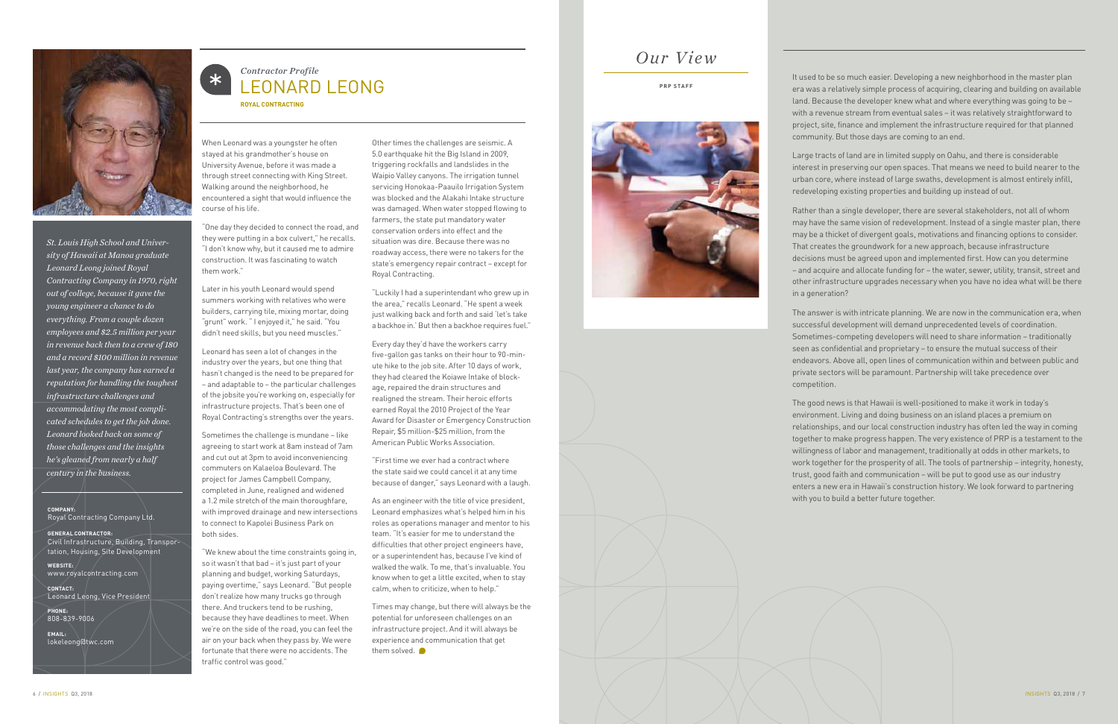# *Our View*

### **PRP STAFF**



It used to be so much easier. Developing a new neighborhood in the master plan era was a relatively simple process of acquiring, clearing and building on available land. Because the developer knew what and where everything was going to be – with a revenue stream from eventual sales – it was relatively straightforward to project, site, finance and implement the infrastructure required for that planned community. But those days are coming to an end.

Large tracts of land are in limited supply on Oahu, and there is considerable interest in preserving our open spaces. That means we need to build nearer to the urban core, where instead of large swaths, development is almost entirely infill, redeveloping existing properties and building up instead of out.

Rather than a single developer, there are several stakeholders, not all of whom may have the same vision of redevelopment. Instead of a single master plan, there may be a thicket of divergent goals, motivations and financing options to consider. That creates the groundwork for a new approach, because infrastructure decisions must be agreed upon and implemented first. How can you determine – and acquire and allocate funding for – the water, sewer, utility, transit, street and other infrastructure upgrades necessary when you have no idea what will be there in a generation?

The answer is with intricate planning. We are now in the communication era, when successful development will demand unprecedented levels of coordination. Sometimes-competing developers will need to share information – traditionally seen as confidential and proprietary – to ensure the mutual success of their endeavors. Above all, open lines of communication within and between public and private sectors will be paramount. Partnership will take precedence over competition.

The good news is that Hawaii is well-positioned to make it work in today's environment. Living and doing business on an island places a premium on relationships, and our local construction industry has often led the way in coming together to make progress happen. The very existence of PRP is a testament to the willingness of labor and management, traditionally at odds in other markets, to work together for the prosperity of all. The tools of partnership – integrity, honesty, trust, good faith and communication – will be put to good use as our industry enters a new era in Hawaii's construction history. We look forward to partnering with you to build a better future together.

### *Contractor Profile*  $\ast$ LEONARD LEONG

**Royal Contracting**

When Leonard was a youngster he often stayed at his grandmother's house on University Avenue, before it was made a through street connecting with King Street. Walking around the neighborhood, he encountered a sight that would influence the course of his life.

"One day they decided to connect the road, and they were putting in a box culvert," he recalls. "I don't know why, but it caused me to admire construction. It was fascinating to watch them work."

> Times may change, but there will always be the potential for unforeseen challenges on an infrastructure project. And it will always be experience and communication that get them solved.  $\bullet$

Later in his youth Leonard would spend summers working with relatives who were builders, carrying tile, mixing mortar, doing "grunt" work. " I enjoyed it," he said. "You didn't need skills, but you need muscles."

Leonard has seen a lot of changes in the industry over the years, but one thing that hasn't changed is the need to be prepared for – and adaptable to – the particular challenges of the jobsite you're working on, especially for infrastructure projects. That's been one of Royal Contracting's strengths over the years.

Sometimes the challenge is mundane – like agreeing to start work at 8am instead of 7am and cut out at 3pm to avoid inconveniencing commuters on Kalaeloa Boulevard. The project for James Campbell Company, completed in June, realigned and widened a 1.2 mile stretch of the main thoroughfare, with improved drainage and new intersections to connect to Kapolei Business Park on both sides.

"We knew about the time constraints going in, so it wasn't that bad – it's just part of your planning and budget, working Saturdays, paying overtime," says Leonard. "But people don't realize how many trucks go through there. And truckers tend to be rushing, because they have deadlines to meet. When we're on the side of the road, you can feel the air on your back when they pass by. We were fortunate that there were no accidents. The traffic control was good."

Other times the challenges are seismic. A 5.0 earthquake hit the Big Island in 2009, triggering rockfalls and landslides in the Waipio Valley canyons. The irrigation tunnel servicing Honokaa-Paauilo Irrigation System was blocked and the Alakahi Intake structure was damaged. When water stopped flowing to farmers, the state put mandatory water conservation orders into effect and the situation was dire. Because there was no roadway access, there were no takers for the state's emergency repair contract – except for Royal Contracting.

"Luckily I had a superintendant who grew up in the area," recalls Leonard. "He spent a week just walking back and forth and said 'let's take a backhoe in.' But then a backhoe requires fuel."

Every day they'd have the workers carry five-gallon gas tanks on their hour to 90-minute hike to the job site. After 10 days of work, they had cleared the Koiawe Intake of blockage, repaired the drain structures and realigned the stream. Their heroic efforts earned Royal the 2010 Project of the Year Award for Disaster or Emergency Construction Repair, \$5 million-\$25 million, from the American Public Works Association.

"First time we ever had a contract where the state said we could cancel it at any time because of danger," says Leonard with a laugh.

As an engineer with the title of vice president, Leonard emphasizes what's helped him in his roles as operations manager and mentor to his team. "It's easier for me to understand the difficulties that other project engineers have, or a superintendent has, because I've kind of walked the walk. To me, that's invaluable. You know when to get a little excited, when to stay calm, when to criticize, when to help."



*St. Louis High School and University of Hawaii at Manoa graduate Leonard Leong joined Royal Contracting Company in 1970, right out of college, because it gave the young engineer a chance to do everything. From a couple dozen employees and \$2.5 million per year in revenue back then to a crew of 180 and a record \$100 million in revenue last year, the company has earned a reputation for handling the toughest infrastructure challenges and accommodating the most complicated schedules to get the job done. Leonard looked back on some of those challenges and the insights he's gleaned from nearly a half century in the business.*

**Company :**  Royal Contracting Company Ltd.

**GENERAL CONTRACTOR:**  Civil Infrastructure, Building, Transportation, Housing, Site Development

**Websit E:**  www.royalcontracting.com

**Contact:**  Leonard Leong, Vice President

**Phone:**  808-839-9006

**Email:**  lokeleong@twc.com